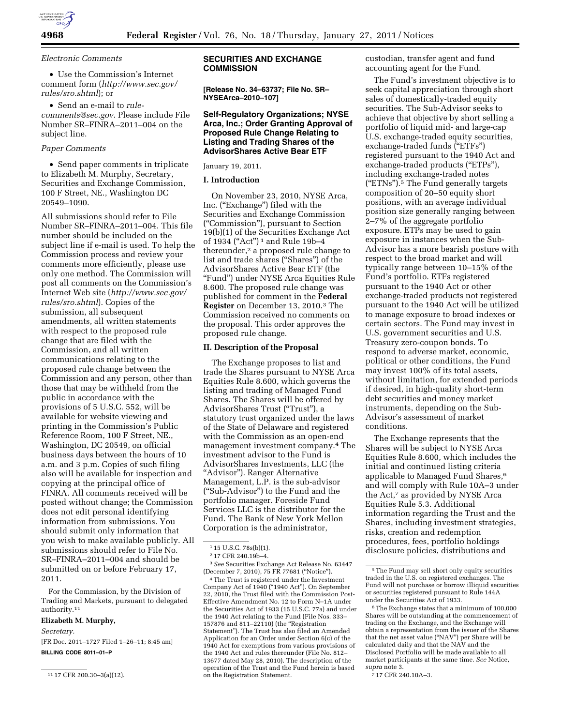

*Electronic Comments* 

• Use the Commission's Internet comment form (*[http://www.sec.gov/](http://www.sec.gov/rules/sro.shtml)  [rules/sro.shtml](http://www.sec.gov/rules/sro.shtml)*); or

• Send an e-mail to *[rule](mailto:rule-comments@sec.gov)[comments@sec.gov](mailto:rule-comments@sec.gov)*. Please include File Number SR–FINRA–2011–004 on the subject line.

### *Paper Comments*

• Send paper comments in triplicate to Elizabeth M. Murphy, Secretary, Securities and Exchange Commission, 100 F Street, NE., Washington DC 20549–1090.

All submissions should refer to File Number SR–FINRA–2011–004. This file number should be included on the subject line if e-mail is used. To help the Commission process and review your comments more efficiently, please use only one method. The Commission will post all comments on the Commission's Internet Web site (*[http://www.sec.gov/](http://www.sec.gov/rules/sro.shtml)  [rules/sro.shtml](http://www.sec.gov/rules/sro.shtml)*). Copies of the submission, all subsequent amendments, all written statements with respect to the proposed rule change that are filed with the Commission, and all written communications relating to the proposed rule change between the Commission and any person, other than those that may be withheld from the public in accordance with the provisions of 5 U.S.C. 552, will be available for website viewing and printing in the Commission's Public Reference Room, 100 F Street, NE., Washington, DC 20549, on official business days between the hours of 10 a.m. and 3 p.m. Copies of such filing also will be available for inspection and copying at the principal office of FINRA. All comments received will be posted without change; the Commission does not edit personal identifying information from submissions. You should submit only information that you wish to make available publicly. All submissions should refer to File No. SR–FINRA–2011–004 and should be submitted on or before February 17, 2011.

For the Commission, by the Division of Trading and Markets, pursuant to delegated authority.11

### **Elizabeth M. Murphy,**

*Secretary.* 

[FR Doc. 2011–1727 Filed 1–26–11; 8:45 am] **BILLING CODE 8011–01–P** 

11 17 CFR 200.30–3(a)(12).

# **SECURITIES AND EXCHANGE COMMISSION**

**[Release No. 34–63737; File No. SR– NYSEArca–2010–107]** 

## **Self-Regulatory Organizations; NYSE Arca, Inc.; Order Granting Approval of Proposed Rule Change Relating to Listing and Trading Shares of the AdvisorShares Active Bear ETF**

## January 19, 2011.

# **I. Introduction**

On November 23, 2010, NYSE Arca, Inc. (''Exchange'') filed with the Securities and Exchange Commission (''Commission''), pursuant to Section 19(b)(1) of the Securities Exchange Act of 1934 (''Act'') 1 and Rule 19b–4 thereunder,<sup>2</sup> a proposed rule change to list and trade shares (''Shares'') of the AdvisorShares Active Bear ETF (the ''Fund'') under NYSE Arca Equities Rule 8.600. The proposed rule change was published for comment in the **Federal Register** on December 13, 2010.3 The Commission received no comments on the proposal. This order approves the proposed rule change.

### **II. Description of the Proposal**

The Exchange proposes to list and trade the Shares pursuant to NYSE Arca Equities Rule 8.600, which governs the listing and trading of Managed Fund Shares. The Shares will be offered by AdvisorShares Trust (''Trust''), a statutory trust organized under the laws of the State of Delaware and registered with the Commission as an open-end management investment company.4 The investment advisor to the Fund is AdvisorShares Investments, LLC (the "Advisor"). Ranger Alternative Management, L.P. is the sub-advisor (''Sub-Advisor'') to the Fund and the portfolio manager. Foreside Fund Services LLC is the distributor for the Fund. The Bank of New York Mellon Corporation is the administrator,

4The Trust is registered under the Investment Company Act of 1940 (''1940 Act''). On September 22, 2010, the Trust filed with the Commission Post-Effective Amendment No. 12 to Form N–1A under the Securities Act of 1933 (15 U.S.C. 77a) and under the 1940 Act relating to the Fund (File Nos. 333– 157876 and 811–22110) (the ''Registration Statement''). The Trust has also filed an Amended Application for an Order under Section 6(c) of the 1940 Act for exemptions from various provisions of the 1940 Act and rules thereunder (File No. 812– 13677 dated May 28, 2010). The description of the operation of the Trust and the Fund herein is based on the Registration Statement.

custodian, transfer agent and fund accounting agent for the Fund.

The Fund's investment objective is to seek capital appreciation through short sales of domestically-traded equity securities. The Sub-Advisor seeks to achieve that objective by short selling a portfolio of liquid mid- and large-cap U.S. exchange-traded equity securities, exchange-traded funds ("ETFs") registered pursuant to the 1940 Act and exchange-traded products (''ETPs''), including exchange-traded notes (''ETNs'').5 The Fund generally targets composition of 20–50 equity short positions, with an average individual position size generally ranging between 2–7% of the aggregate portfolio exposure. ETPs may be used to gain exposure in instances when the Sub-Advisor has a more bearish posture with respect to the broad market and will typically range between 10–15% of the Fund's portfolio. ETFs registered pursuant to the 1940 Act or other exchange-traded products not registered pursuant to the 1940 Act will be utilized to manage exposure to broad indexes or certain sectors. The Fund may invest in U.S. government securities and U.S. Treasury zero-coupon bonds. To respond to adverse market, economic, political or other conditions, the Fund may invest 100% of its total assets, without limitation, for extended periods if desired, in high-quality short-term debt securities and money market instruments, depending on the Sub-Advisor's assessment of market conditions.

The Exchange represents that the Shares will be subject to NYSE Arca Equities Rule 8.600, which includes the initial and continued listing criteria applicable to Managed Fund Shares,6 and will comply with Rule 10A–3 under the Act,7 as provided by NYSE Arca Equities Rule 5.3. Additional information regarding the Trust and the Shares, including investment strategies, risks, creation and redemption procedures, fees, portfolio holdings disclosure policies, distributions and

7 17 CFR 240.10A–3.

<sup>1</sup> 15 U.S.C. 78s(b)(1).

<sup>2</sup> 17 CFR 240.19b–4.

<sup>3</sup>*See* Securities Exchange Act Release No. 63447 (December 7, 2010), 75 FR 77681 (''Notice'').

<sup>5</sup>The Fund may sell short only equity securities traded in the U.S. on registered exchanges. The Fund will not purchase or borrow illiquid securities or securities registered pursuant to Rule 144A under the Securities Act of 1933.

<sup>6</sup>The Exchange states that a minimum of 100,000 Shares will be outstanding at the commencement of trading on the Exchange, and the Exchange will obtain a representation from the issuer of the Shares that the net asset value (''NAV'') per Share will be calculated daily and that the NAV and the Disclosed Portfolio will be made available to all market participants at the same time. *See* Notice, *supra* note 3.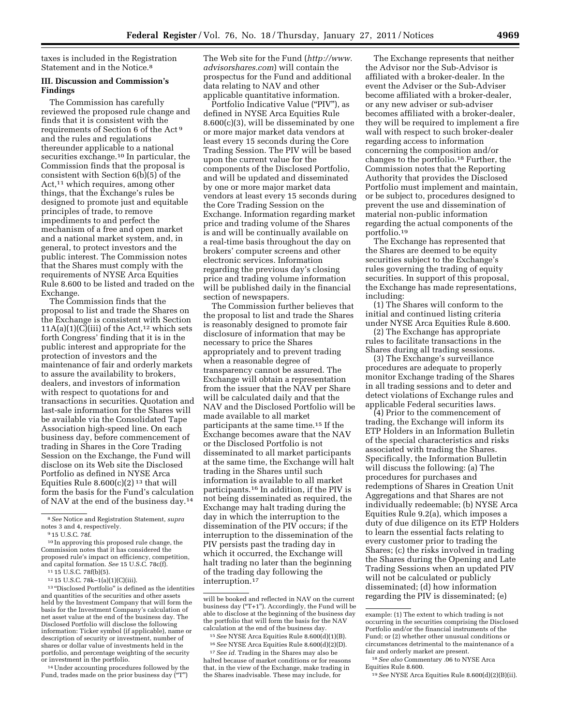taxes is included in the Registration Statement and in the Notice.<sup>8</sup>

## **III. Discussion and Commission's Findings**

The Commission has carefully reviewed the proposed rule change and finds that it is consistent with the requirements of Section 6 of the Act 9 and the rules and regulations thereunder applicable to a national securities exchange.<sup>10</sup> In particular, the Commission finds that the proposal is consistent with Section 6(b)(5) of the Act,11 which requires, among other things, that the Exchange's rules be designed to promote just and equitable principles of trade, to remove impediments to and perfect the mechanism of a free and open market and a national market system, and, in general, to protect investors and the public interest. The Commission notes that the Shares must comply with the requirements of NYSE Arca Equities Rule 8.600 to be listed and traded on the Exchange.

The Commission finds that the proposal to list and trade the Shares on the Exchange is consistent with Section  $11A(a)(1)(C)(iii)$  of the Act,<sup>12</sup> which sets forth Congress' finding that it is in the public interest and appropriate for the protection of investors and the maintenance of fair and orderly markets to assure the availability to brokers, dealers, and investors of information with respect to quotations for and transactions in securities. Quotation and last-sale information for the Shares will be available via the Consolidated Tape Association high-speed line. On each business day, before commencement of trading in Shares in the Core Trading Session on the Exchange, the Fund will disclose on its Web site the Disclosed Portfolio as defined in NYSE Arca Equities Rule  $8.600(c)(2)^{13}$  that will form the basis for the Fund's calculation of NAV at the end of the business day.14

10 In approving this proposed rule change, the Commission notes that it has considered the proposed rule's impact on efficiency, competition,<br>and capital formation. See 15 U.S.C. 78cff).

<sup>11</sup> 15 U.S.C. 78f(b)(5).<br><sup>12</sup> 15 U.S.C. 78k–1(a)(1)(C)(iii).<br><sup>13 "</sup>Disclosed Portfolio" is defined as the identities and quantities of the securities and other assets held by the Investment Company that will form the basis for the Investment Company's calculation of net asset value at the end of the business day. The Disclosed Portfolio will disclose the following information: Ticker symbol (if applicable), name or description of security or investment, number of shares or dollar value of investments held in the portfolio, and percentage weighting of the security or investment in the portfolio.

14Under accounting procedures followed by the Fund, trades made on the prior business day ("T")

The Web site for the Fund (*[http://www.](http://www.advisorshares.com)  [advisorshares.com](http://www.advisorshares.com)*) will contain the prospectus for the Fund and additional data relating to NAV and other applicable quantitative information.

Portfolio Indicative Value ("PIV"), as defined in NYSE Arca Equities Rule 8.600(c)(3), will be disseminated by one or more major market data vendors at least every 15 seconds during the Core Trading Session. The PIV will be based upon the current value for the components of the Disclosed Portfolio, and will be updated and disseminated by one or more major market data vendors at least every 15 seconds during the Core Trading Session on the Exchange. Information regarding market price and trading volume of the Shares is and will be continually available on a real-time basis throughout the day on brokers' computer screens and other electronic services. Information regarding the previous day's closing price and trading volume information will be published daily in the financial section of newspapers.

The Commission further believes that the proposal to list and trade the Shares is reasonably designed to promote fair disclosure of information that may be necessary to price the Shares appropriately and to prevent trading when a reasonable degree of transparency cannot be assured. The Exchange will obtain a representation from the issuer that the NAV per Share will be calculated daily and that the NAV and the Disclosed Portfolio will be made available to all market participants at the same time.15 If the Exchange becomes aware that the NAV or the Disclosed Portfolio is not disseminated to all market participants at the same time, the Exchange will halt trading in the Shares until such information is available to all market participants.16 In addition, if the PIV is not being disseminated as required, the Exchange may halt trading during the day in which the interruption to the dissemination of the PIV occurs; if the interruption to the dissemination of the PIV persists past the trading day in which it occurred, the Exchange will halt trading no later than the beginning of the trading day following the interruption.17

16*See* NYSE Arca Equities Rule 8.600(d)(2)(D). 17*See id.* Trading in the Shares may also be halted because of market conditions or for reasons that, in the view of the Exchange, make trading in the Shares inadvisable. These may include, for

The Exchange represents that neither the Advisor nor the Sub-Advisor is affiliated with a broker-dealer. In the event the Adviser or the Sub-Adviser become affiliated with a broker-dealer, or any new adviser or sub-adviser becomes affiliated with a broker-dealer, they will be required to implement a fire wall with respect to such broker-dealer regarding access to information concerning the composition and/or changes to the portfolio.18 Further, the Commission notes that the Reporting Authority that provides the Disclosed Portfolio must implement and maintain, or be subject to, procedures designed to prevent the use and dissemination of material non-public information regarding the actual components of the portfolio.19

The Exchange has represented that the Shares are deemed to be equity securities subject to the Exchange's rules governing the trading of equity securities. In support of this proposal, the Exchange has made representations, including:

(1) The Shares will conform to the initial and continued listing criteria under NYSE Arca Equities Rule 8.600.

(2) The Exchange has appropriate rules to facilitate transactions in the Shares during all trading sessions.

(3) The Exchange's surveillance procedures are adequate to properly monitor Exchange trading of the Shares in all trading sessions and to deter and detect violations of Exchange rules and applicable Federal securities laws.

(4) Prior to the commencement of trading, the Exchange will inform its ETP Holders in an Information Bulletin of the special characteristics and risks associated with trading the Shares. Specifically, the Information Bulletin will discuss the following: (a) The procedures for purchases and redemptions of Shares in Creation Unit Aggregations and that Shares are not individually redeemable; (b) NYSE Arca Equities Rule 9.2(a), which imposes a duty of due diligence on its ETP Holders to learn the essential facts relating to every customer prior to trading the Shares; (c) the risks involved in trading the Shares during the Opening and Late Trading Sessions when an updated PIV will not be calculated or publicly disseminated; (d) how information regarding the PIV is disseminated; (e)

<sup>8</sup>*See* Notice and Registration Statement, *supra*  notes 3 and 4, respectively.<br><sup>9</sup> 15 U.S.C. 78f.

will be booked and reflected in NAV on the current business day (''T+1''). Accordingly, the Fund will be able to disclose at the beginning of the business day the portfolio that will form the basis for the NAV calculation at the end of the business day.

<sup>15</sup>*See* NYSE Arca Equities Rule 8.600(d)(1)(B).

example: (1) The extent to which trading is not occurring in the securities comprising the Disclosed Portfolio and/or the financial instruments of the Fund; or (2) whether other unusual conditions or circumstances detrimental to the maintenance of a fair and orderly market are present.

<sup>18</sup>*See also* Commentary .06 to NYSE Arca Equities Rule 8.600.

<sup>19</sup>*See* NYSE Arca Equities Rule 8.600(d)(2)(B)(ii).